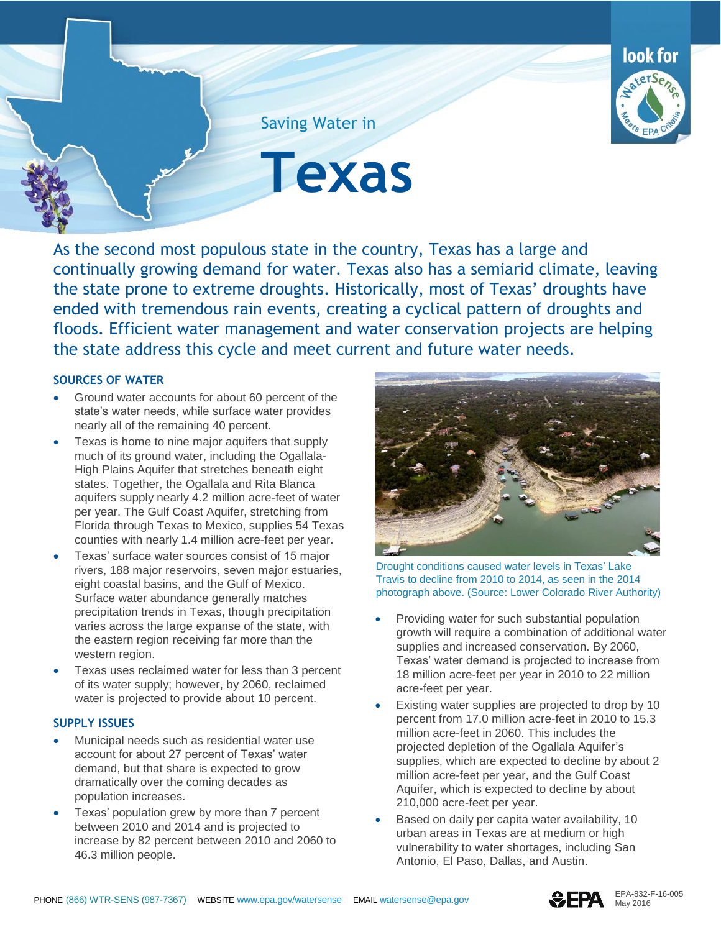

Saving Water in

**Texas**

As the second most populous state in the country, Texas has a large and continually growing demand for water. Texas also has a semiarid climate, leaving the state prone to extreme droughts. Historically, most of Texas' droughts have ended with tremendous rain events, creating a cyclical pattern of droughts and floods. Efficient water management and water conservation projects are helping the state address this cycle and meet current and future water needs.

## **SOURCES OF WATER**

- Ground water accounts for about 60 percent of the state's water needs, while surface water provides nearly all of the remaining 40 percent.
- Texas is home to nine major aquifers that supply much of its ground water, including the Ogallala-High Plains Aquifer that stretches beneath eight states. Together, the Ogallala and Rita Blanca aquifers supply nearly 4.2 million acre-feet of water per year. The Gulf Coast Aquifer, stretching from Florida through Texas to Mexico, supplies 54 Texas counties with nearly 1.4 million acre-feet per year.
- Texas' surface water sources consist of 15 major rivers, 188 major reservoirs, seven major estuaries, eight coastal basins, and the Gulf of Mexico. Surface water abundance generally matches precipitation trends in Texas, though precipitation varies across the large expanse of the state, with the eastern region receiving far more than the western region.
- Texas uses reclaimed water for less than 3 percent of its water supply; however, by 2060, reclaimed water is projected to provide about 10 percent.

## **SUPPLY ISSUES**

- Municipal needs such as residential water use account for about 27 percent of Texas' water demand, but that share is expected to grow dramatically over the coming decades as population increases.
- Texas' population grew by more than 7 percent between 2010 and 2014 and is projected to increase by 82 percent between 2010 and 2060 to 46.3 million people.



Drought conditions caused water levels in Texas' Lake Travis to decline from 2010 to 2014, as seen in the 2014 photograph above. (Source: Lower Colorado River Authority)

- Providing water for such substantial population growth will require a combination of additional water supplies and increased conservation. By 2060, Texas' water demand is projected to increase from 18 million acre-feet per year in 2010 to 22 million acre-feet per year.
- Existing water supplies are projected to drop by 10 percent from 17.0 million acre-feet in 2010 to 15.3 million acre-feet in 2060. This includes the projected depletion of the Ogallala Aquifer's supplies, which are expected to decline by about 2 million acre-feet per year, and the Gulf Coast Aquifer, which is expected to decline by about 210,000 acre-feet per year.
- Based on daily per capita water availability, 10 urban areas in Texas are at medium or high vulnerability to water shortages, including San Antonio, El Paso, Dallas, and Austin.